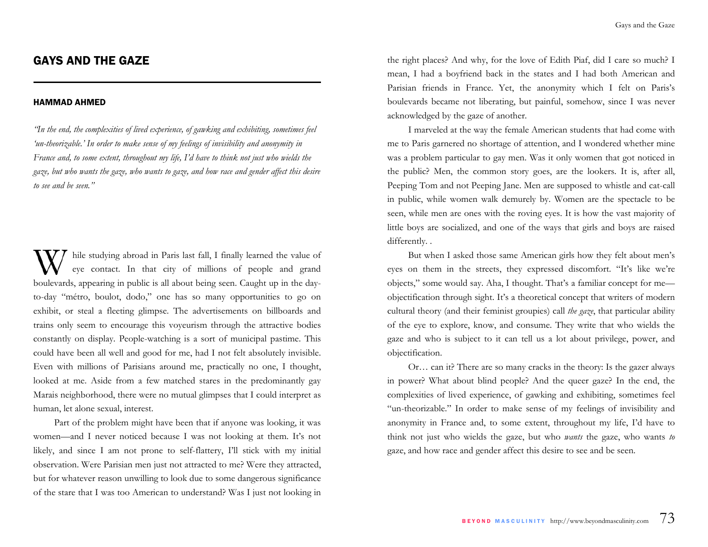# GAYS AND THE GAZE

#### HAMMAD AHMED

*"In the end, the complexities of lived experience, of gawking and exhibiting, sometimes feel 'un-theorizable.' In order to make sense of my feelings of invisibility and anonymity in France and, to some extent, throughout my life, I'd have to think not just who wields the gaze, but who wants the gaze, who wants to gaze, and how race and gender affect this desire to see and be seen."* 

hile studying abroad in Paris last fall, I finally learned the value of eye contact. In that city of millions of people and grand boulevards, appearing in public is all about being seen. Caught up in the dayto-day "métro, boulot, dodo," one has so many opportunities to go on exhibit, or steal a fleeting glimpse. The advertisements on billboards and trains only seem to encourage this voyeurism through the attractive bodies constantly on display. People-watching is a sort of municipal pastime. This could have been all well and good for me, had I not felt absolutely invisible. Even with millions of Parisians around me, practically no one, I thought, looked at me. Aside from a few matched stares in the predominantly gay Marais neighborhood, there were no mutual glimpses that I could interpret as human, let alone sexual, interest.

Part of the problem might have been that if anyone was looking, it was women—and I never noticed because I was not looking at them. It's not likely, and since I am not prone to self-flattery, I'll stick with my initial observation. Were Parisian men just not attracted to me? Were they attracted, but for whatever reason unwilling to look due to some dangerous significance of the stare that I was too American to understand? Was I just not looking in the right places? And why, for the love of Edith Piaf, did I care so much? I mean, I had a boyfriend back in the states and I had both American and Parisian friends in France. Yet, the anonymity which I felt on Paris's boulevards became not liberating, but painful, somehow, since I was never acknowledged by the gaze of another.

I marveled at the way the female American students that had come with me to Paris garnered no shortage of attention, and I wondered whether mine was a problem particular to gay men. Was it only women that got noticed in the public? Men, the common story goes, are the lookers. It is, after all, Peeping Tom and not Peeping Jane. Men are supposed to whistle and cat-call in public, while women walk demurely by. Women are the spectacle to be seen, while men are ones with the roving eyes. It is how the vast majority of little boys are socialized, and one of the ways that girls and boys are raised differently. .

But when I asked those same American girls how they felt about men's eyes on them in the streets, they expressed discomfort. "It's like we're objects," some would say. Aha, I thought. That's a familiar concept for me objectification through sight. It's a theoretical concept that writers of modern cultural theory (and their feminist groupies) call *the gaze*, that particular ability of the eye to explore, know, and consume. They write that who wields the gaze and who is subject to it can tell us a lot about privilege, power, and objectification.

Or… can it? There are so many cracks in the theory: Is the gazer always in power? What about blind people? And the queer gaze? In the end, the complexities of lived experience, of gawking and exhibiting, sometimes feel "un-theorizable." In order to make sense of my feelings of invisibility and anonymity in France and, to some extent, throughout my life, I'd have to think not just who wields the gaze, but who *wants* the gaze, who wants *to* gaze, and how race and gender affect this desire to see and be seen.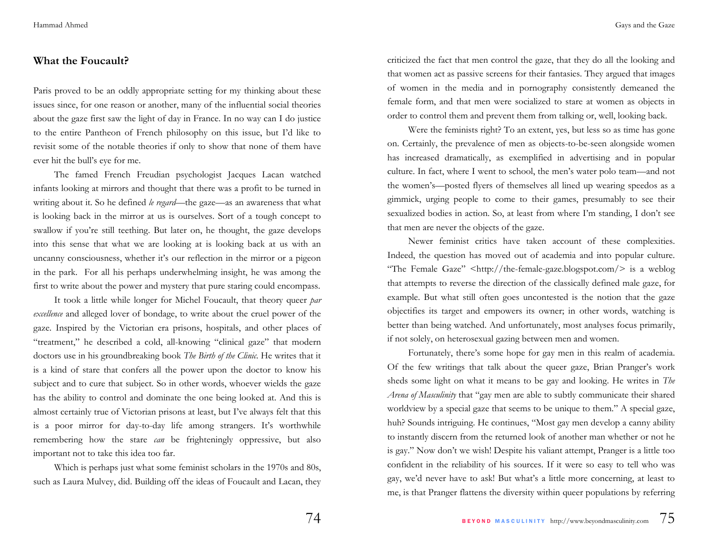#### **What the Foucault?**

Paris proved to be an oddly appropriate setting for my thinking about these issues since, for one reason or another, many of the influential social theories about the gaze first saw the light of day in France. In no way can I do justice to the entire Pantheon of French philosophy on this issue, but I'd like to revisit some of the notable theories if only to show that none of them have ever hit the bull's eye for me.

The famed French Freudian psychologist Jacques Lacan watched infants looking at mirrors and thought that there was a profit to be turned in writing about it. So he defined *le regard*—the gaze—as an awareness that what is looking back in the mirror at us is ourselves. Sort of a tough concept to swallow if you're still teething. But later on, he thought, the gaze develops into this sense that what we are looking at is looking back at us with an uncanny consciousness, whether it's our reflection in the mirror or a pigeon in the park. For all his perhaps underwhelming insight, he was among the first to write about the power and mystery that pure staring could encompass.

It took a little while longer for Michel Foucault, that theory queer *par excellence* and alleged lover of bondage, to write about the cruel power of the gaze. Inspired by the Victorian era prisons, hospitals, and other places of "treatment," he described a cold, all-knowing "clinical gaze" that modern doctors use in his groundbreaking book *The Birth of the Clinic*. He writes that it is a kind of stare that confers all the power upon the doctor to know his subject and to cure that subject. So in other words, whoever wields the gaze has the ability to control and dominate the one being looked at. And this is almost certainly true of Victorian prisons at least, but I've always felt that this is a poor mirror for day-to-day life among strangers. It's worthwhile remembering how the stare *can* be frighteningly oppressive, but also important not to take this idea too far.

Which is perhaps just what some feminist scholars in the 1970s and 80s, such as Laura Mulvey, did. Building off the ideas of Foucault and Lacan, they criticized the fact that men control the gaze, that they do all the looking and that women act as passive screens for their fantasies. They argued that images of women in the media and in pornography consistently demeaned the female form, and that men were socialized to stare at women as objects in order to control them and prevent them from talking or, well, looking back.

Were the feminists right? To an extent, yes, but less so as time has gone on. Certainly, the prevalence of men as objects-to-be-seen alongside women has increased dramatically, as exemplified in advertising and in popular culture. In fact, where I went to school, the men's water polo team—and not the women's—posted flyers of themselves all lined up wearing speedos as a gimmick, urging people to come to their games, presumably to see their sexualized bodies in action. So, at least from where I'm standing, I don't see that men are never the objects of the gaze.

Newer feminist critics have taken account of these complexities. Indeed, the question has moved out of academia and into popular culture. "The Female Gaze" <http://the-female-gaze.blogspot.com/> is a weblog that attempts to reverse the direction of the classically defined male gaze, for example. But what still often goes uncontested is the notion that the gaze objectifies its target and empowers its owner; in other words, watching is better than being watched. And unfortunately, most analyses focus primarily, if not solely, on heterosexual gazing between men and women.

Fortunately, there's some hope for gay men in this realm of academia. Of the few writings that talk about the queer gaze, Brian Pranger's work sheds some light on what it means to be gay and looking. He writes in *The Arena of Masculinity* that "gay men are able to subtly communicate their shared worldview by a special gaze that seems to be unique to them." A special gaze, huh? Sounds intriguing. He continues, "Most gay men develop a canny ability to instantly discern from the returned look of another man whether or not he is gay." Now don't we wish! Despite his valiant attempt, Pranger is a little too confident in the reliability of his sources. If it were so easy to tell who was gay, we'd never have to ask! But what's a little more concerning, at least to me, is that Pranger flattens the diversity within queer populations by referring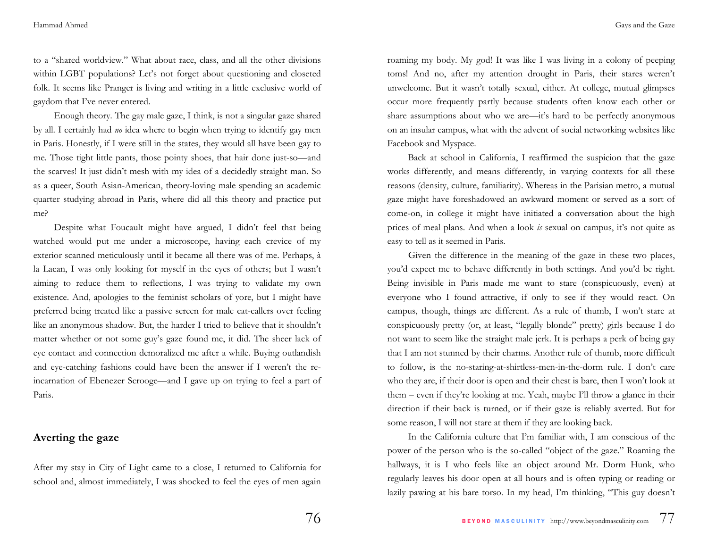to a "shared worldview." What about race, class, and all the other divisions within LGBT populations? Let's not forget about questioning and closeted folk. It seems like Pranger is living and writing in a little exclusive world of gaydom that I've never entered.

 Enough theory. The gay male gaze, I think, is not a singular gaze shared by all. I certainly had *no* idea where to begin when trying to identify gay men in Paris. Honestly, if I were still in the states, they would all have been gay to me. Those tight little pants, those pointy shoes, that hair done just-so—and the scarves! It just didn't mesh with my idea of a decidedly straight man. So as a queer, South Asian-American, theory-loving male spending an academic quarter studying abroad in Paris, where did all this theory and practice put me?

 Despite what Foucault might have argued, I didn't feel that being watched would put me under a microscope, having each crevice of my exterior scanned meticulously until it became all there was of me. Perhaps, à la Lacan, I was only looking for myself in the eyes of others; but I wasn't aiming to reduce them to reflections, I was trying to validate my own existence. And, apologies to the feminist scholars of yore, but I might have preferred being treated like a passive screen for male cat-callers over feeling like an anonymous shadow. But, the harder I tried to believe that it shouldn't matter whether or not some guy's gaze found me, it did. The sheer lack of eye contact and connection demoralized me after a while. Buying outlandish and eye-catching fashions could have been the answer if I weren't the reincarnation of Ebenezer Scrooge—and I gave up on trying to feel a part of Paris.

### **Averting the gaze**

After my stay in City of Light came to a close, I returned to California for school and, almost immediately, I was shocked to feel the eyes of men again

roaming my body. My god! It was like I was living in a colony of peeping toms! And no, after my attention drought in Paris, their stares weren't unwelcome. But it wasn't totally sexual, either. At college, mutual glimpses occur more frequently partly because students often know each other or share assumptions about who we are—it's hard to be perfectly anonymous on an insular campus, what with the advent of social networking websites like Facebook and Myspace.

Back at school in California, I reaffirmed the suspicion that the gaze works differently, and means differently, in varying contexts for all these reasons (density, culture, familiarity). Whereas in the Parisian metro, a mutual gaze might have foreshadowed an awkward moment or served as a sort of come-on, in college it might have initiated a conversation about the high prices of meal plans. And when a look *is* sexual on campus, it's not quite as easy to tell as it seemed in Paris.

Given the difference in the meaning of the gaze in these two places, you'd expect me to behave differently in both settings. And you'd be right. Being invisible in Paris made me want to stare (conspicuously, even) at everyone who I found attractive, if only to see if they would react. On campus, though, things are different. As a rule of thumb, I won't stare at conspicuously pretty (or, at least, "legally blonde" pretty) girls because I do not want to seem like the straight male jerk. It is perhaps a perk of being gay that I am not stunned by their charms. Another rule of thumb, more difficult to follow, is the no-staring-at-shirtless-men-in-the-dorm rule. I don't care who they are, if their door is open and their chest is bare, then I won't look at them – even if they're looking at me. Yeah, maybe I'll throw a glance in their direction if their back is turned, or if their gaze is reliably averted. But for some reason, I will not stare at them if they are looking back.

In the California culture that I'm familiar with, I am conscious of the power of the person who is the so-called "object of the gaze." Roaming the hallways, it is I who feels like an object around Mr. Dorm Hunk, who regularly leaves his door open at all hours and is often typing or reading or lazily pawing at his bare torso. In my head, I'm thinking, "This guy doesn't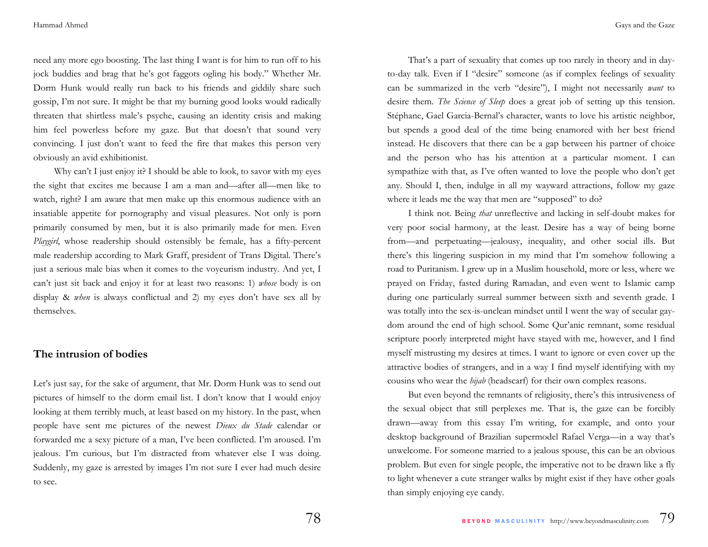need any more ego boosting. The last thing I want is for him to run off to his jock buddies and brag that he's got faggots ogling his body." Whether Mr. Dorm Hunk would really run back to his friends and giddily share such gossip, I'm not sure. It might be that my burning good looks would radically threaten that shirtless male's psyche, causing an identity crisis and making him feel powerless before my gaze. But that doesn't that sound very convincing. I just don't want to feed the fire that makes this person very obviously an avid exhibitionist.

Why can't I just enjoy it? I should be able to look, to savor with my eyes the sight that excites me because I am a man and—after all—men like to watch, right? I am aware that men make up this enormous audience with an insatiable appetite for pornography and visual pleasures. Not only is porn primarily consumed by men, but it is also primarily made for men. Even *Playgirl*, whose readership should ostensibly be female, has a fifty-percent male readership according to Mark Graff, president of Trans Digital. There's just a serious male bias when it comes to the voyeurism industry. And yet, I can't just sit back and enjoy it for at least two reasons: 1) *whose* body is on display & *when* is always conflictual and 2) my eyes don't have sex all by themselves.

### **The intrusion of bodies**

Let's just say, for the sake of argument, that Mr. Dorm Hunk was to send out pictures of himself to the dorm email list. I don't know that I would enjoy looking at them terribly much, at least based on my history. In the past, when people have sent me pictures of the newest *Dieux du Stade* calendar or forwarded me a sexy picture of a man, I've been conflicted. I'm aroused. I'm jealous. I'm curious, but I'm distracted from whatever else I was doing. Suddenly, my gaze is arrested by images I'm not sure I ever had much desire to see.

That's a part of sexuality that comes up too rarely in theory and in dayto-day talk. Even if I "desire" someone (as if complex feelings of sexuality can be summarized in the verb "desire"), I might not necessarily *want* to desire them. *The Science of Sleep* does a great job of setting up this tension. Stéphane, Gael Garcia-Bernal's character, wants to love his artistic neighbor, but spends a good deal of the time being enamored with her best friend instead. He discovers that there can be a gap between his partner of choice and the person who has his attention at a particular moment. I can sympathize with that, as I've often wanted to love the people who don't get any. Should I, then, indulge in all my wayward attractions, follow my gaze where it leads me the way that men are "supposed" to do?

I think not. Being *that* unreflective and lacking in self-doubt makes for very poor social harmony, at the least. Desire has a way of being borne from—and perpetuating—jealousy, inequality, and other social ills. But there's this lingering suspicion in my mind that I'm somehow following a road to Puritanism. I grew up in a Muslim household, more or less, where we prayed on Friday, fasted during Ramadan, and even went to Islamic camp during one particularly surreal summer between sixth and seventh grade. I was totally into the sex-is-unclean mindset until I went the way of secular gaydom around the end of high school. Some Qur'anic remnant, some residual scripture poorly interpreted might have stayed with me, however, and I find myself mistrusting my desires at times. I want to ignore or even cover up the attractive bodies of strangers, and in a way I find myself identifying with my cousins who wear the *hijab* (headscarf) for their own complex reasons.

But even beyond the remnants of religiosity, there's this intrusiveness of the sexual object that still perplexes me. That is, the gaze can be forcibly drawn—away from this essay I'm writing, for example, and onto your desktop background of Brazilian supermodel Rafael Verga—in a way that's unwelcome. For someone married to a jealous spouse, this can be an obvious problem. But even for single people, the imperative not to be drawn like a fly to light whenever a cute stranger walks by might exist if they have other goals than simply enjoying eye candy.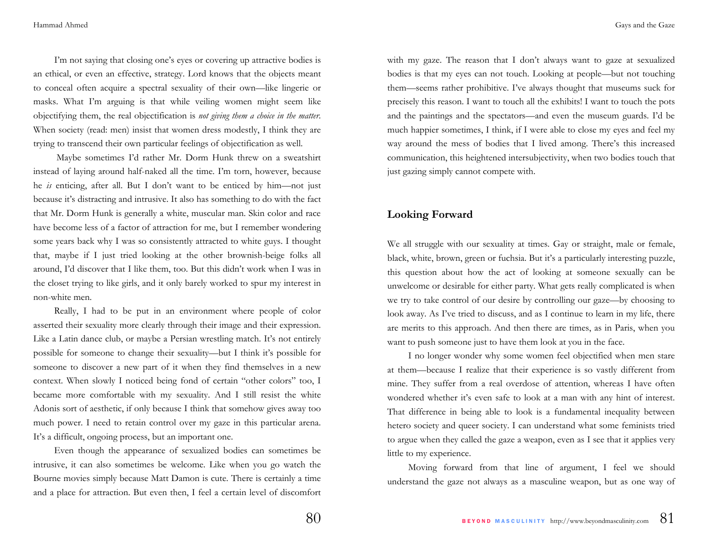I'm not saying that closing one's eyes or covering up attractive bodies is an ethical, or even an effective, strategy. Lord knows that the objects meant to conceal often acquire a spectral sexuality of their own—like lingerie or masks. What I'm arguing is that while veiling women might seem like objectifying them, the real objectification is *not giving them a choice in the matter*. When society (read: men) insist that women dress modestly, I think they are trying to transcend their own particular feelings of objectification as well.

 Maybe sometimes I'd rather Mr. Dorm Hunk threw on a sweatshirt instead of laying around half-naked all the time. I'm torn, however, because he *is* enticing, after all. But I don't want to be enticed by him—not just because it's distracting and intrusive. It also has something to do with the fact that Mr. Dorm Hunk is generally a white, muscular man. Skin color and race have become less of a factor of attraction for me, but I remember wondering some years back why I was so consistently attracted to white guys. I thought that, maybe if I just tried looking at the other brownish-beige folks all around, I'd discover that I like them, too. But this didn't work when I was in the closet trying to like girls, and it only barely worked to spur my interest in non-white men.

Really, I had to be put in an environment where people of color asserted their sexuality more clearly through their image and their expression. Like a Latin dance club, or maybe a Persian wrestling match. It's not entirely possible for someone to change their sexuality—but I think it's possible for someone to discover a new part of it when they find themselves in a new context. When slowly I noticed being fond of certain "other colors" too, I became more comfortable with my sexuality. And I still resist the white Adonis sort of aesthetic, if only because I think that somehow gives away too much power. I need to retain control over my gaze in this particular arena. It's a difficult, ongoing process, but an important one.

Even though the appearance of sexualized bodies can sometimes be intrusive, it can also sometimes be welcome. Like when you go watch the Bourne movies simply because Matt Damon is cute. There is certainly a time and a place for attraction. But even then, I feel a certain level of discomfort with my gaze. The reason that I don't always want to gaze at sexualized bodies is that my eyes can not touch. Looking at people—but not touching them—seems rather prohibitive. I've always thought that museums suck for precisely this reason. I want to touch all the exhibits! I want to touch the pots and the paintings and the spectators—and even the museum guards. I'd be much happier sometimes, I think, if I were able to close my eyes and feel my way around the mess of bodies that I lived among. There's this increased communication, this heightened intersubjectivity, when two bodies touch that just gazing simply cannot compete with.

## **Looking Forward**

We all struggle with our sexuality at times. Gay or straight, male or female, black, white, brown, green or fuchsia. But it's a particularly interesting puzzle, this question about how the act of looking at someone sexually can be unwelcome or desirable for either party. What gets really complicated is when we try to take control of our desire by controlling our gaze—by choosing to look away. As I've tried to discuss, and as I continue to learn in my life, there are merits to this approach. And then there are times, as in Paris, when you want to push someone just to have them look at you in the face.

I no longer wonder why some women feel objectified when men stare at them—because I realize that their experience is so vastly different from mine. They suffer from a real overdose of attention, whereas I have often wondered whether it's even safe to look at a man with any hint of interest. That difference in being able to look is a fundamental inequality between hetero society and queer society. I can understand what some feminists tried to argue when they called the gaze a weapon, even as I see that it applies very little to my experience.

Moving forward from that line of argument, I feel we should understand the gaze not always as a masculine weapon, but as one way of